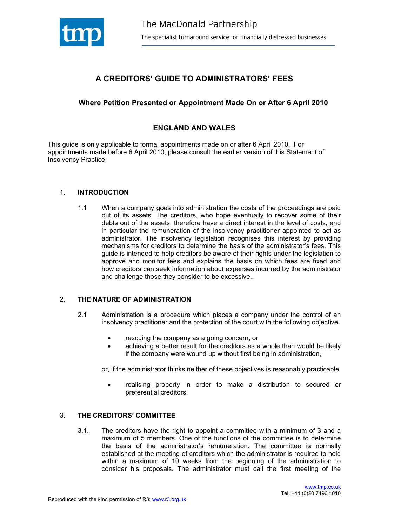

# **A CREDITORS' GUIDE TO ADMINISTRATORS' FEES**

# **Where Petition Presented or Appointment Made On or After 6 April 2010**

# **ENGLAND AND WALES**

This guide is only applicable to formal appointments made on or after 6 April 2010. For appointments made before 6 April 2010, please consult the earlier version of this Statement of Insolvency Practice

# 1. **INTRODUCTION**

1.1 When a company goes into administration the costs of the proceedings are paid out of its assets. The creditors, who hope eventually to recover some of their debts out of the assets, therefore have a direct interest in the level of costs, and in particular the remuneration of the insolvency practitioner appointed to act as administrator. The insolvency legislation recognises this interest by providing mechanisms for creditors to determine the basis of the administrator's fees. This guide is intended to help creditors be aware of their rights under the legislation to approve and monitor fees and explains the basis on which fees are fixed and how creditors can seek information about expenses incurred by the administrator and challenge those they consider to be excessive..

# 2. **THE NATURE OF ADMINISTRATION**

- 2.1 Administration is a procedure which places a company under the control of an insolvency practitioner and the protection of the court with the following objective:
	- rescuing the company as a going concern, or
	- achieving a better result for the creditors as a whole than would be likely if the company were wound up without first being in administration,

or, if the administrator thinks neither of these objectives is reasonably practicable

• realising property in order to make a distribution to secured or preferential creditors.

#### 3. **THE CREDITORS' COMMITTEE**

3.1. The creditors have the right to appoint a committee with a minimum of 3 and a maximum of 5 members. One of the functions of the committee is to determine the basis of the administrator's remuneration. The committee is normally established at the meeting of creditors which the administrator is required to hold within a maximum of 10 weeks from the beginning of the administration to consider his proposals. The administrator must call the first meeting of the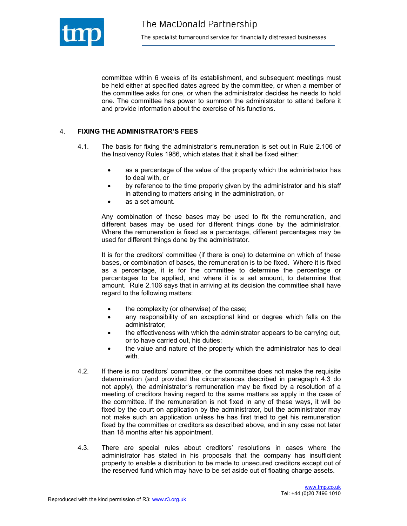

committee within 6 weeks of its establishment, and subsequent meetings must be held either at specified dates agreed by the committee, or when a member of the committee asks for one, or when the administrator decides he needs to hold one. The committee has power to summon the administrator to attend before it and provide information about the exercise of his functions.

# 4. **FIXING THE ADMINISTRATOR'S FEES**

- 4.1. The basis for fixing the administrator's remuneration is set out in Rule 2.106 of the Insolvency Rules 1986, which states that it shall be fixed either:
	- as a percentage of the value of the property which the administrator has to deal with, or
	- by reference to the time properly given by the administrator and his staff in attending to matters arising in the administration, or
	- as a set amount.

Any combination of these bases may be used to fix the remuneration, and different bases may be used for different things done by the administrator. Where the remuneration is fixed as a percentage, different percentages may be used for different things done by the administrator.

It is for the creditors' committee (if there is one) to determine on which of these bases, or combination of bases, the remuneration is to be fixed. Where it is fixed as a percentage, it is for the committee to determine the percentage or percentages to be applied, and where it is a set amount, to determine that amount. Rule 2.106 says that in arriving at its decision the committee shall have regard to the following matters:

- the complexity (or otherwise) of the case;
- any responsibility of an exceptional kind or degree which falls on the administrator;
- the effectiveness with which the administrator appears to be carrying out, or to have carried out, his duties;
- the value and nature of the property which the administrator has to deal with.
- 4.2. If there is no creditors' committee, or the committee does not make the requisite determination (and provided the circumstances described in paragraph 4.3 do not apply), the administrator's remuneration may be fixed by a resolution of a meeting of creditors having regard to the same matters as apply in the case of the committee. If the remuneration is not fixed in any of these ways, it will be fixed by the court on application by the administrator, but the administrator may not make such an application unless he has first tried to get his remuneration fixed by the committee or creditors as described above, and in any case not later than 18 months after his appointment.
- 4.3. There are special rules about creditors' resolutions in cases where the administrator has stated in his proposals that the company has insufficient property to enable a distribution to be made to unsecured creditors except out of the reserved fund which may have to be set aside out of floating charge assets.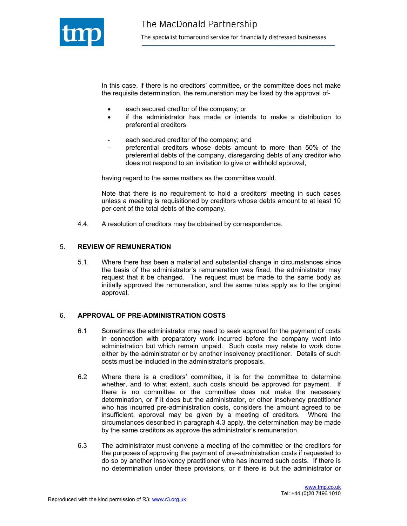

In this case, if there is no creditors' committee, or the committee does not make the requisite determination, the remuneration may be fixed by the approval of-

- each secured creditor of the company; or
- if the administrator has made or intends to make a distribution to preferential creditors
- each secured creditor of the company; and
- preferential creditors whose debts amount to more than 50% of the preferential debts of the company, disregarding debts of any creditor who does not respond to an invitation to give or withhold approval,

having regard to the same matters as the committee would.

Note that there is no requirement to hold a creditors' meeting in such cases unless a meeting is requisitioned by creditors whose debts amount to at least 10 per cent of the total debts of the company.

4.4. A resolution of creditors may be obtained by correspondence.

#### 5. **REVIEW OF REMUNERATION**

5.1. Where there has been a material and substantial change in circumstances since the basis of the administrator's remuneration was fixed, the administrator may request that it be changed. The request must be made to the same body as initially approved the remuneration, and the same rules apply as to the original approval.

# 6. **APPROVAL OF PRE-ADMINISTRATION COSTS**

- 6.1 Sometimes the administrator may need to seek approval for the payment of costs in connection with preparatory work incurred before the company went into administration but which remain unpaid. Such costs may relate to work done either by the administrator or by another insolvency practitioner. Details of such costs must be included in the administrator's proposals.
- 6.2 Where there is a creditors' committee, it is for the committee to determine whether, and to what extent, such costs should be approved for payment. If there is no committee or the committee does not make the necessary determination, or if it does but the administrator, or other insolvency practitioner who has incurred pre-administration costs, considers the amount agreed to be insufficient, approval may be given by a meeting of creditors. Where the circumstances described in paragraph 4.3 apply, the determination may be made by the same creditors as approve the administrator's remuneration.
- 6.3 The administrator must convene a meeting of the committee or the creditors for the purposes of approving the payment of pre-administration costs if requested to do so by another insolvency practitioner who has incurred such costs. If there is no determination under these provisions, or if there is but the administrator or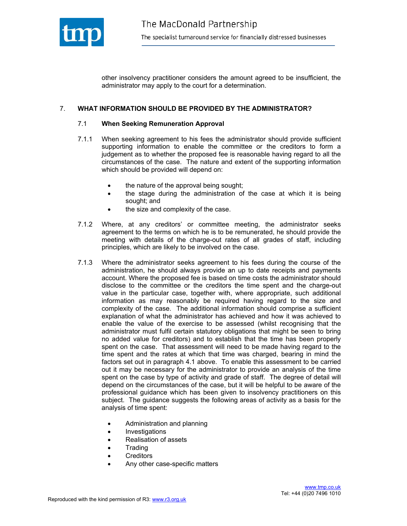

other insolvency practitioner considers the amount agreed to be insufficient, the administrator may apply to the court for a determination.

### 7. **WHAT INFORMATION SHOULD BE PROVIDED BY THE ADMINISTRATOR?**

#### 7.1 **When Seeking Remuneration Approval**

- 7.1.1 When seeking agreement to his fees the administrator should provide sufficient supporting information to enable the committee or the creditors to form a judgement as to whether the proposed fee is reasonable having regard to all the circumstances of the case. The nature and extent of the supporting information which should be provided will depend on:
	- the nature of the approval being sought;
	- the stage during the administration of the case at which it is being sought; and
	- the size and complexity of the case.
- 7.1.2 Where, at any creditors' or committee meeting, the administrator seeks agreement to the terms on which he is to be remunerated, he should provide the meeting with details of the charge-out rates of all grades of staff, including principles, which are likely to be involved on the case.
- 7.1.3 Where the administrator seeks agreement to his fees during the course of the administration, he should always provide an up to date receipts and payments account. Where the proposed fee is based on time costs the administrator should disclose to the committee or the creditors the time spent and the charge-out value in the particular case, together with, where appropriate, such additional information as may reasonably be required having regard to the size and complexity of the case. The additional information should comprise a sufficient explanation of what the administrator has achieved and how it was achieved to enable the value of the exercise to be assessed (whilst recognising that the administrator must fulfil certain statutory obligations that might be seen to bring no added value for creditors) and to establish that the time has been properly spent on the case. That assessment will need to be made having regard to the time spent and the rates at which that time was charged, bearing in mind the factors set out in paragraph 4.1 above. To enable this assessment to be carried out it may be necessary for the administrator to provide an analysis of the time spent on the case by type of activity and grade of staff. The degree of detail will depend on the circumstances of the case, but it will be helpful to be aware of the professional guidance which has been given to insolvency practitioners on this subject. The guidance suggests the following areas of activity as a basis for the analysis of time spent:
	- Administration and planning
	- Investigations
	- Realisation of assets
	- Trading
	- Creditors
	- Any other case-specific matters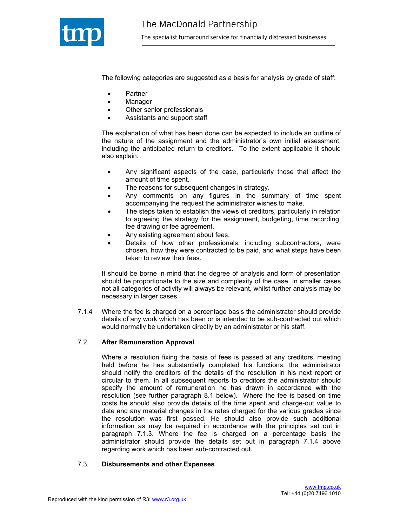

The following categories are suggested as a basis for analysis by grade of staff:

- **Partner**
- Manager
- Other senior professionals
- Assistants and support staff

The explanation of what has been done can be expected to include an outline of the nature of the assignment and the administrator's own initial assessment, including the anticipated return to creditors. To the extent applicable it should also explain:

- Any significant aspects of the case, particularly those that affect the amount of time spent.
- The reasons for subsequent changes in strategy.
- Any comments on any figures in the summary of time spent accompanying the request the administrator wishes to make.
- The steps taken to establish the views of creditors, particularly in relation to agreeing the strategy for the assignment, budgeting, time recording, fee drawing or fee agreement.
- Any existing agreement about fees.
- Details of how other professionals, including subcontractors, were chosen, how they were contracted to be paid, and what steps have been taken to review their fees.

It should be borne in mind that the degree of analysis and form of presentation should be proportionate to the size and complexity of the case. In smaller cases not all categories of activity will always be relevant, whilst further analysis may be necessary in larger cases.

7.1.4 Where the fee is charged on a percentage basis the administrator should provide details of any work which has been or is intended to be sub-contracted out which would normally be undertaken directly by an administrator or his staff.

#### 7.2. **After Remuneration Approval**

Where a resolution fixing the basis of fees is passed at any creditors' meeting held before he has substantially completed his functions, the administrator should notify the creditors of the details of the resolution in his next report or circular to them. In all subsequent reports to creditors the administrator should specify the amount of remuneration he has drawn in accordance with the resolution (see further paragraph 8.1 below). Where the fee is based on time costs he should also provide details of the time spent and charge-out value to date and any material changes in the rates charged for the various grades since the resolution was first passed. He should also provide such additional information as may be required in accordance with the principles set out in paragraph 7.1.3. Where the fee is charged on a percentage basis the administrator should provide the details set out in paragraph 7.1.4 above regarding work which has been sub-contracted out.

#### 7.3. **Disbursements and other Expenses**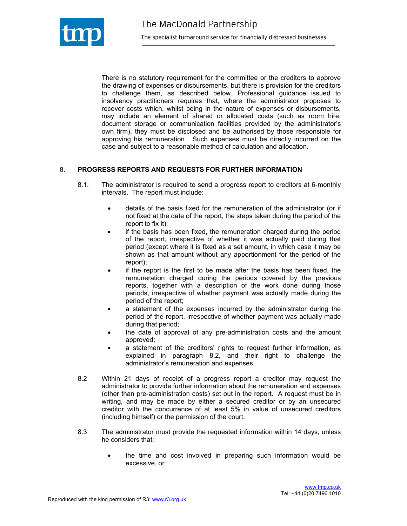

There is no statutory requirement for the committee or the creditors to approve the drawing of expenses or disbursements, but there is provision for the creditors to challenge them, as described below. Professional guidance issued to insolvency practitioners requires that, where the administrator proposes to recover costs which, whilst being in the nature of expenses or disbursements, may include an element of shared or allocated costs (such as room hire, document storage or communication facilities provided by the administrator's own firm), they must be disclosed and be authorised by those responsible for approving his remuneration. Such expenses must be directly incurred on the case and subject to a reasonable method of calculation and allocation.

# 8. **PROGRESS REPORTS AND REQUESTS FOR FURTHER INFORMATION**

- 8.1. The administrator is required to send a progress report to creditors at 6-monthly intervals. The report must include:
	- details of the basis fixed for the remuneration of the administrator (or if not fixed at the date of the report, the steps taken during the period of the report to fix it);
	- if the basis has been fixed, the remuneration charged during the period of the report, irrespective of whether it was actually paid during that period (except where it is fixed as a set amount, in which case it may be shown as that amount without any apportionment for the period of the report);
	- if the report is the first to be made after the basis has been fixed, the remuneration charged during the periods covered by the previous reports, together with a description of the work done during those periods, irrespective of whether payment was actually made during the period of the report;
	- a statement of the expenses incurred by the administrator during the period of the report, irrespective of whether payment was actually made during that period;
	- the date of approval of any pre-administration costs and the amount approved;
	- a statement of the creditors' rights to request further information, as explained in paragraph 8.2, and their right to challenge the administrator's remuneration and expenses.
- 8.2 Within 21 days of receipt of a progress report a creditor may request the administrator to provide further information about the remuneration and expenses (other than pre-administration costs) set out in the report. A request must be in writing, and may be made by either a secured creditor or by an unsecured creditor with the concurrence of at least 5% in value of unsecured creditors (including himself) or the permission of the court.
- 8.3 The administrator must provide the requested information within 14 days, unless he considers that:
	- the time and cost involved in preparing such information would be excessive, or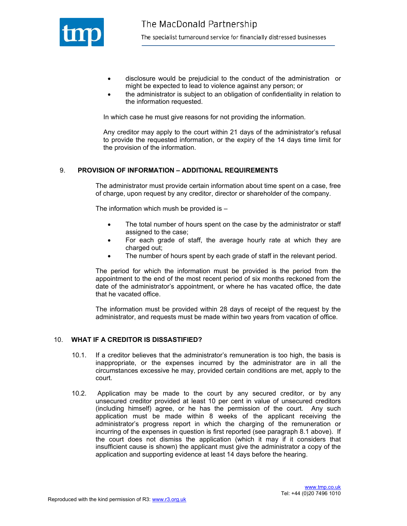

- disclosure would be prejudicial to the conduct of the administration or might be expected to lead to violence against any person; or
- the administrator is subject to an obligation of confidentiality in relation to the information requested.

In which case he must give reasons for not providing the information.

Any creditor may apply to the court within 21 days of the administrator's refusal to provide the requested information, or the expiry of the 14 days time limit for the provision of the information.

#### 9. **PROVISION OF INFORMATION – ADDITIONAL REQUIREMENTS**

The administrator must provide certain information about time spent on a case, free of charge, upon request by any creditor, director or shareholder of the company.

The information which mush be provided is –

- The total number of hours spent on the case by the administrator or staff assigned to the case;
- For each grade of staff, the average hourly rate at which they are charged out;
- The number of hours spent by each grade of staff in the relevant period.

The period for which the information must be provided is the period from the appointment to the end of the most recent period of six months reckoned from the date of the administrator's appointment, or where he has vacated office, the date that he vacated office.

The information must be provided within 28 days of receipt of the request by the administrator, and requests must be made within two years from vacation of office.

#### 10. **WHAT IF A CREDITOR IS DISSASTIFIED?**

- 10.1. If a creditor believes that the administrator's remuneration is too high, the basis is inappropriate, or the expenses incurred by the administrator are in all the circumstances excessive he may, provided certain conditions are met, apply to the court.
- 10.2. Application may be made to the court by any secured creditor, or by any unsecured creditor provided at least 10 per cent in value of unsecured creditors (including himself) agree, or he has the permission of the court. Any such application must be made within 8 weeks of the applicant receiving the administrator's progress report in which the charging of the remuneration or incurring of the expenses in question is first reported (see paragraph 8.1 above). If the court does not dismiss the application (which it may if it considers that insufficient cause is shown) the applicant must give the administrator a copy of the application and supporting evidence at least 14 days before the hearing.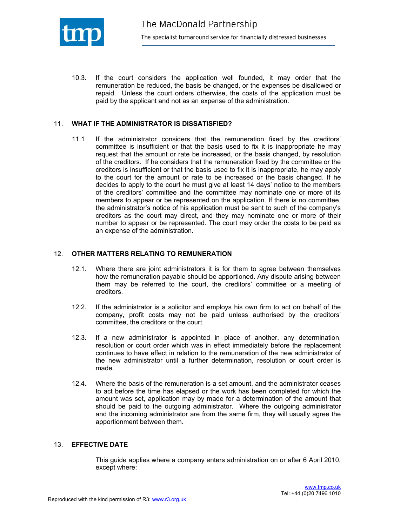

10.3. If the court considers the application well founded, it may order that the remuneration be reduced, the basis be changed, or the expenses be disallowed or repaid. Unless the court orders otherwise, the costs of the application must be paid by the applicant and not as an expense of the administration.

#### 11. **WHAT IF THE ADMINISTRATOR IS DISSATISFIED?**

11.1 If the administrator considers that the remuneration fixed by the creditors' committee is insufficient or that the basis used to fix it is inappropriate he may request that the amount or rate be increased, or the basis changed, by resolution of the creditors. If he considers that the remuneration fixed by the committee or the creditors is insufficient or that the basis used to fix it is inappropriate, he may apply to the court for the amount or rate to be increased or the basis changed. If he decides to apply to the court he must give at least 14 days' notice to the members of the creditors' committee and the committee may nominate one or more of its members to appear or be represented on the application. If there is no committee, the administrator's notice of his application must be sent to such of the company's creditors as the court may direct, and they may nominate one or more of their number to appear or be represented. The court may order the costs to be paid as an expense of the administration.

#### 12. **OTHER MATTERS RELATING TO REMUNERATION**

- 12.1. Where there are joint administrators it is for them to agree between themselves how the remuneration payable should be apportioned. Any dispute arising between them may be referred to the court, the creditors' committee or a meeting of creditors.
- 12.2. If the administrator is a solicitor and employs his own firm to act on behalf of the company, profit costs may not be paid unless authorised by the creditors' committee, the creditors or the court.
- 12.3. If a new administrator is appointed in place of another, any determination, resolution or court order which was in effect immediately before the replacement continues to have effect in relation to the remuneration of the new administrator of the new administrator until a further determination, resolution or court order is made.
- 12.4. Where the basis of the remuneration is a set amount, and the administrator ceases to act before the time has elapsed or the work has been completed for which the amount was set, application may by made for a determination of the amount that should be paid to the outgoing administrator. Where the outgoing administrator and the incoming administrator are from the same firm, they will usually agree the apportionment between them.

#### 13. **EFFECTIVE DATE**

This guide applies where a company enters administration on or after 6 April 2010, except where: